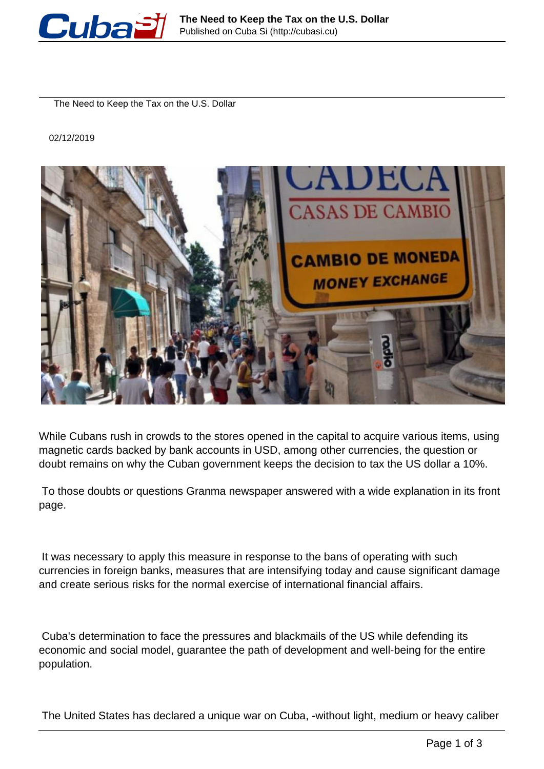

The Need to Keep the Tax on the U.S. Dollar

02/12/2019



While Cubans rush in crowds to the stores opened in the capital to acquire various items, using magnetic cards backed by bank accounts in USD, among other currencies, the question or doubt remains on why the Cuban government keeps the decision to tax the US dollar a 10%.

 To those doubts or questions Granma newspaper answered with a wide explanation in its front page.

 It was necessary to apply this measure in response to the bans of operating with such currencies in foreign banks, measures that are intensifying today and cause significant damage and create serious risks for the normal exercise of international financial affairs.

 Cuba's determination to face the pressures and blackmails of the US while defending its economic and social model, guarantee the path of development and well-being for the entire population.

The United States has declared a unique war on Cuba, -without light, medium or heavy caliber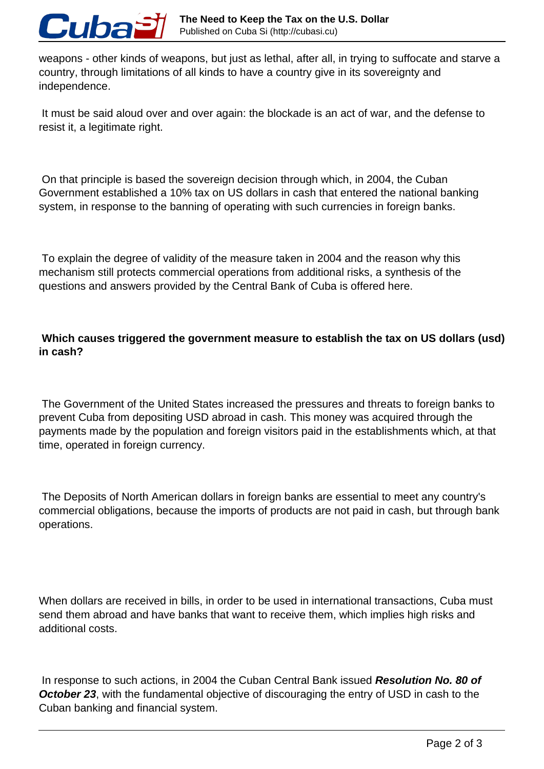

weapons - other kinds of weapons, but just as lethal, after all, in trying to suffocate and starve a country, through limitations of all kinds to have a country give in its sovereignty and independence.

 It must be said aloud over and over again: the blockade is an act of war, and the defense to resist it, a legitimate right.

 On that principle is based the sovereign decision through which, in 2004, the Cuban Government established a 10% tax on US dollars in cash that entered the national banking system, in response to the banning of operating with such currencies in foreign banks.

 To explain the degree of validity of the measure taken in 2004 and the reason why this mechanism still protects commercial operations from additional risks, a synthesis of the questions and answers provided by the Central Bank of Cuba is offered here.

## **Which causes triggered the government measure to establish the tax on US dollars (usd) in cash?**

 The Government of the United States increased the pressures and threats to foreign banks to prevent Cuba from depositing USD abroad in cash. This money was acquired through the payments made by the population and foreign visitors paid in the establishments which, at that time, operated in foreign currency.

 The Deposits of North American dollars in foreign banks are essential to meet any country's commercial obligations, because the imports of products are not paid in cash, but through bank operations.

When dollars are received in bills, in order to be used in international transactions, Cuba must send them abroad and have banks that want to receive them, which implies high risks and additional costs.

 In response to such actions, in 2004 the Cuban Central Bank issued **Resolution No. 80 of October 23**, with the fundamental objective of discouraging the entry of USD in cash to the Cuban banking and financial system.